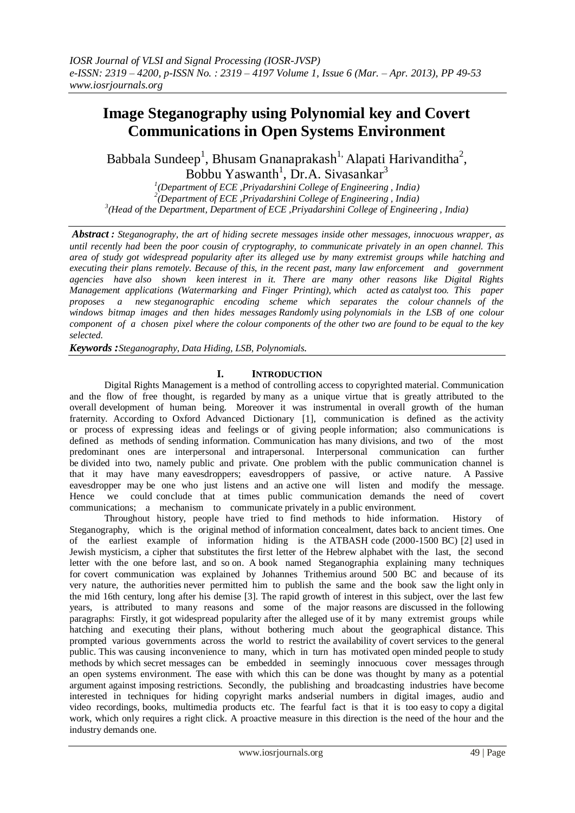# **Image Steganography using Polynomial key and Covert Communications in Open Systems Environment**

Babbala Sundeep<sup>1</sup>, Bhusam Gnanaprakash<sup>1,</sup> Alapati Harivanditha<sup>2</sup>,  $B$ obbu Yaswanth<sup>1</sup>, Dr.A. Sivasankar<sup>3</sup>

*1 (Department of ECE ,Priyadarshini College of Engineering , India) 2 (Department of ECE ,Priyadarshini College of Engineering , India) 3 (Head of the Department, Department of ECE ,Priyadarshini College of Engineering , India)*

*Abstract : Steganography, the art of hiding secrete messages inside other messages, innocuous wrapper, as until recently had been the poor cousin of cryptography, to communicate privately in an open channel. This area of study got widespread popularity after its alleged use by many extremist groups while hatching and executing their plans remotely. Because of this, in the recent past, many law enforcement and government agencies have also shown keen interest in it. There are many other reasons like Digital Rights Management applications (Watermarking and Finger Printing), which acted as catalyst too. This paper proposes a new steganographic encoding scheme which separates the colour channels of the windows bitmap images and then hides messages Randomly using polynomials in the LSB of one colour component of a chosen pixel where the colour components of the other two are found to be equal to the key selected.* 

*Keywords :Steganography, Data Hiding, LSB, Polynomials.*

### **I. INTRODUCTION**

Digital Rights Management is a method of controlling access to copyrighted material. Communication and the flow of free thought, is regarded by many as a unique virtue that is greatly attributed to the overall development of human being. Moreover it was instrumental in overall growth of the human fraternity. According to Oxford Advanced Dictionary [1], communication is defined as the activity or process of expressing ideas and feelings or of giving people information; also communications is defined as methods of sending information. Communication has many divisions, and two of the most predominant ones are interpersonal and intrapersonal. Interpersonal communication can further be divided into two, namely public and private. One problem with the public communication channel is that it may have many eavesdroppers; eavesdroppers of passive, or active nature. A Passive eavesdropper may be one who just listens and an active one will listen and modify the message. Hence we could conclude that at times public communication demands the need of covert communications; a mechanism to communicate privately in a public environment.

Throughout history, people have tried to find methods to hide information. History of Steganography, which is the original method of information concealment, dates back to ancient times. One of the earliest example of information hiding is the ATBASH code (2000-1500 BC) [2] used in Jewish mysticism, a cipher that substitutes the first letter of the Hebrew alphabet with the last, the second letter with the one before last, and so on. A book named Steganographia explaining many techniques for covert communication was explained by Johannes Trithemius around 500 BC and because of its very nature, the authorities never permitted him to publish the same and the book saw the light only in the mid 16th century, long after his demise [3]. The rapid growth of interest in this subject, over the last few years, is attributed to many reasons and some of the major reasons are discussed in the following paragraphs: Firstly, it got widespread popularity after the alleged use of it by many extremist groups while hatching and executing their plans, without bothering much about the geographical distance. This prompted various governments across the world to restrict the availability of covert services to the general public. This was causing inconvenience to many, which in turn has motivated open minded people to study methods by which secret messages can be embedded in seemingly innocuous cover messages through an open systems environment. The ease with which this can be done was thought by many as a potential argument against imposing restrictions. Secondly, the publishing and broadcasting industries have become interested in techniques for hiding copyright marks andserial numbers in digital images, audio and video recordings, books, multimedia products etc. The fearful fact is that it is too easy to copy a digital work, which only requires a right click. A proactive measure in this direction is the need of the hour and the industry demands one.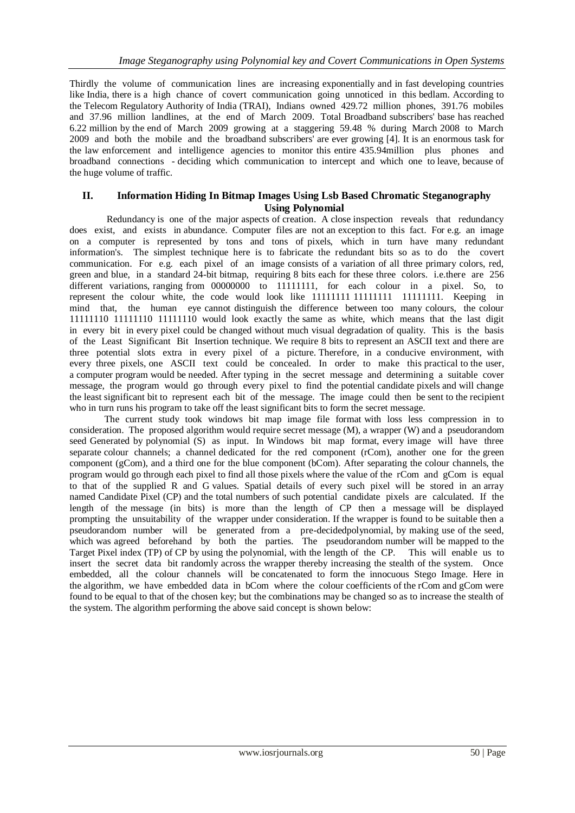Thirdly the volume of communication lines are increasing exponentially and in fast developing countries like India, there is a high chance of covert communication going unnoticed in this bedlam. According to the Telecom Regulatory Authority of India (TRAI), Indians owned 429.72 million phones, 391.76 mobiles and 37.96 million landlines, at the end of March 2009. Total Broadband subscribers' base has reached 6.22 million by the end of March 2009 growing at a staggering 59.48 % during March 2008 to March 2009 and both the mobile and the broadband subscribers' are ever growing [4]. It is an enormous task for the law enforcement and intelligence agencies to monitor this entire 435.94million plus phones and broadband connections - deciding which communication to intercept and which one to leave, because of the huge volume of traffic.

### **II. Information Hiding In Bitmap Images Using Lsb Based Chromatic Steganography Using Polynomial**

Redundancy is one of the major aspects of creation. A close inspection reveals that redundancy does exist, and exists in abundance. Computer files are not an exception to this fact. For e.g. an image on a computer is represented by tons and tons of pixels, which in turn have many redundant information's. The simplest technique here is to fabricate the redundant bits so as to do the covert communication. For e.g. each pixel of an image consists of a variation of all three primary colors, red, green and blue, in a standard 24-bit bitmap, requiring 8 bits each for these three colors. i.e.there are 256 different variations, ranging from 00000000 to 11111111, for each colour in a pixel. So, to represent the colour white, the code would look like 11111111 11111111 111111111. Keeping in mind that, the human eye cannot distinguish the difference between too many colours, the colour 11111110 11111110 11111110 would look exactly the same as white, which means that the last digit in every bit in every pixel could be changed without much visual degradation of quality. This is the basis of the Least Significant Bit Insertion technique. We require 8 bits to represent an ASCII text and there are three potential slots extra in every pixel of a picture. Therefore, in a conducive environment, with every three pixels, one ASCII text could be concealed. In order to make this practical to the user, a computer program would be needed. After typing in the secret message and determining a suitable cover message, the program would go through every pixel to find the potential candidate pixels and will change the least significant bit to represent each bit of the message. The image could then be sent to the recipient who in turn runs his program to take off the least significant bits to form the secret message.

The current study took windows bit map image file format with loss less compression in to consideration. The proposed algorithm would require secret message (M), a wrapper (W) and a pseudorandom seed Generated by polynomial (S) as input. In Windows bit map format, every image will have three separate colour channels; a channel dedicated for the red component (rCom), another one for the green component (gCom), and a third one for the blue component (bCom). After separating the colour channels, the program would go through each pixel to find all those pixels where the value of the rCom and gCom is equal to that of the supplied R and G values. Spatial details of every such pixel will be stored in an array named Candidate Pixel (CP) and the total numbers of such potential candidate pixels are calculated. If the length of the message (in bits) is more than the length of CP then a message will be displayed prompting the unsuitability of the wrapper under consideration. If the wrapper is found to be suitable then a pseudorandom number will be generated from a pre-decidedpolynomial, by making use of the seed, which was agreed beforehand by both the parties. The pseudorandom number will be mapped to the Target Pixel index (TP) of CP by using the polynomial, with the length of the CP. This will enable us to insert the secret data bit randomly across the wrapper thereby increasing the stealth of the system. Once embedded, all the colour channels will be concatenated to form the innocuous Stego Image. Here in the algorithm, we have embedded data in bCom where the colour coefficients of the rCom and gCom were found to be equal to that of the chosen key; but the combinations may be changed so as to increase the stealth of the system. The algorithm performing the above said concept is shown below: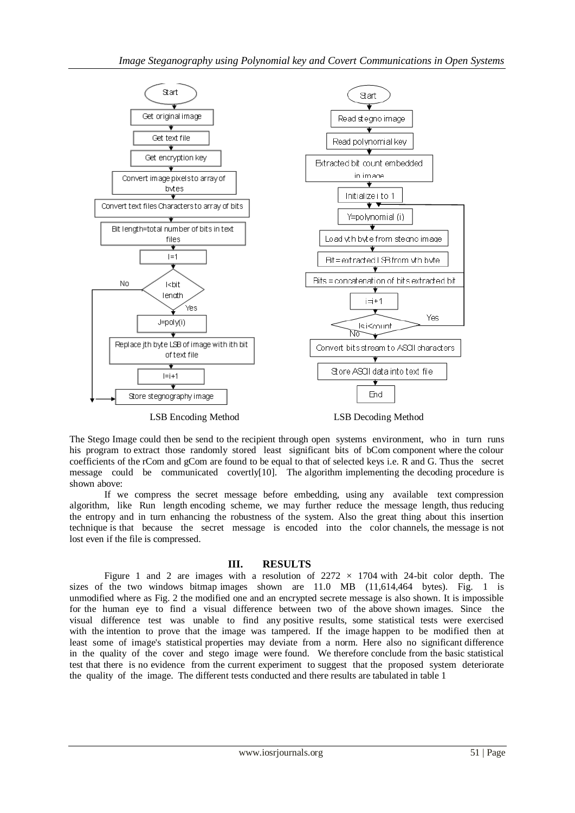

The Stego Image could then be send to the recipient through open systems environment, who in turn runs his program to extract those randomly stored least significant bits of bCom component where the colour coefficients of the rCom and gCom are found to be equal to that of selected keys i.e. R and G. Thus the secret message could be communicated covertly[10]. The algorithm implementing the decoding procedure is shown above:

If we compress the secret message before embedding, using any available text compression algorithm, like Run length encoding scheme, we may further reduce the message length, thus reducing the entropy and in turn enhancing the robustness of the system. Also the great thing about this insertion technique is that because the secret message is encoded into the color channels, the message is not lost even if the file is compressed.

## **III. RESULTS**

Figure 1 and 2 are images with a resolution of  $2272 \times 1704$  with 24-bit color depth. The sizes of the two windows bitmap images shown are 11.0 MB (11,614,464 bytes). Fig. 1 is unmodified where as Fig. 2 the modified one and an encrypted secrete message is also shown. It is impossible for the human eye to find a visual difference between two of the above shown images. Since the visual difference test was unable to find any positive results, some statistical tests were exercised with the intention to prove that the image was tampered. If the image happen to be modified then at least some of image's statistical properties may deviate from a norm. Here also no significant difference in the quality of the cover and stego image were found. We therefore conclude from the basic statistical test that there is no evidence from the current experiment to suggest that the proposed system deteriorate the quality of the image. The different tests conducted and there results are tabulated in table 1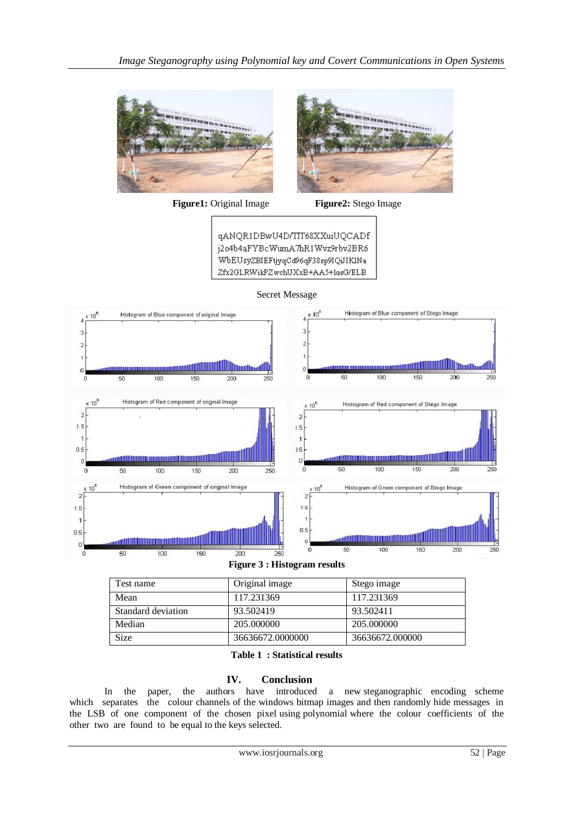

**Figure1:** Original Image **Figure2:** Stego Image



qANQR1DBwU4D/TIT68XXuiUQCADf j2o4b4aFYBcWumA7hR1Wvz9rbv2BR6 WbEUsyZBIEFtjyqCd96qF38sp9IQiJIK1Na Zfx2GLRWikPZwchUXxB+AA5+1qsG/ELB





**Figure 3 : Histogram results**

| Test name          | Original image   | Stego image     |
|--------------------|------------------|-----------------|
| Mean               | 117.231369       | 117.231369      |
| Standard deviation | 93.502419        | 93.502411       |
| Median             | 205,000000       | 205.000000      |
| <b>Size</b>        | 36636672.0000000 | 36636672.000000 |

### **Table 1 : Statistical results**

### **IV. Conclusion**

In the paper, the authors have introduced a new steganographic encoding scheme which separates the colour channels of the windows bitmap images and then randomly hide messages in the LSB of one component of the chosen pixel using polynomial where the colour coefficients of the other two are found to be equal to the keys selected.